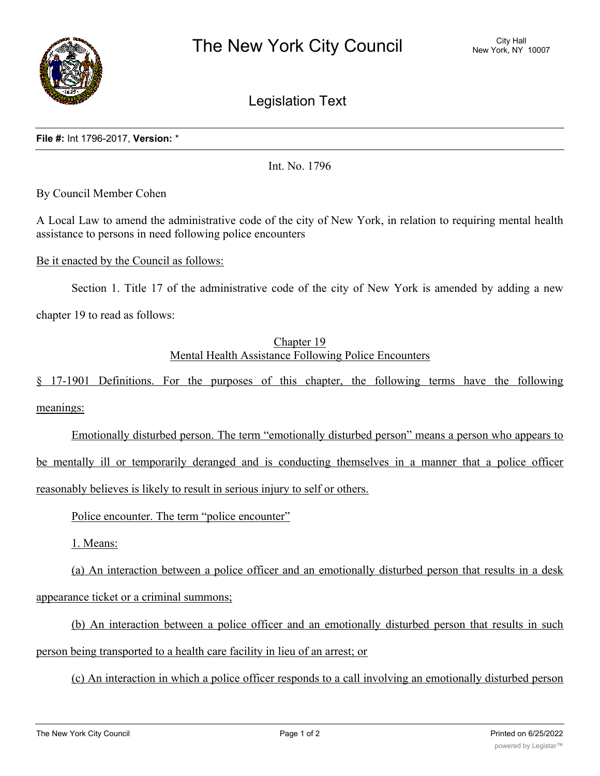

Legislation Text

## **File #:** Int 1796-2017, **Version:** \*

Int. No. 1796

By Council Member Cohen

A Local Law to amend the administrative code of the city of New York, in relation to requiring mental health assistance to persons in need following police encounters

Be it enacted by the Council as follows:

Section 1. Title 17 of the administrative code of the city of New York is amended by adding a new

chapter 19 to read as follows:

## Chapter 19 Mental Health Assistance Following Police Encounters

§ 17-1901 Definitions. For the purposes of this chapter, the following terms have the following meanings:

Emotionally disturbed person. The term "emotionally disturbed person" means a person who appears to be mentally ill or temporarily deranged and is conducting themselves in a manner that a police officer reasonably believes is likely to result in serious injury to self or others.

Police encounter. The term "police encounter"

1. Means:

(a) An interaction between a police officer and an emotionally disturbed person that results in a desk appearance ticket or a criminal summons;

(b) An interaction between a police officer and an emotionally disturbed person that results in such person being transported to a health care facility in lieu of an arrest; or

(c) An interaction in which a police officer responds to a call involving an emotionally disturbed person